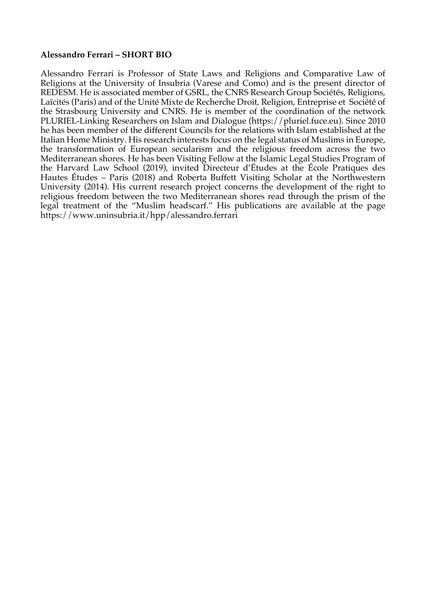## **Alessandro Ferrari – SHORT BIO**

Alessandro Ferrari is Professor of State Laws and Religions and Comparative Law of Religions at the University of Insubria (Varese and Como) and is the present director of REDESM. He is associated member of GSRL, the CNRS Research Group Sociétés, Religions, Laïcités (Paris) and of the Unité Mixte de Recherche Droit, Religion, Entreprise et Société of the Strasbourg University and CNRS. He is member of the coordination of the network PLURIEL-Linking Researchers on Islam and Dialogue (https://pluriel.fuce.eu). Since 2010 he has been member of the different Councils for the relations with Islam established at the Italian Home Ministry. His research interests focus on the legal status of Muslims in Europe, the transformation of European secularism and the religious freedom across the two Mediterranean shores. He has been Visiting Fellow at the Islamic Legal Studies Program of the Harvard Law School (2019), invited Directeur d'Études at the École Pratiques des Hautes Études – Paris (2018) and Roberta Buffett Visiting Scholar at the Northwestern University (2014). His current research project concerns the development of the right to religious freedom between the two Mediterranean shores read through the prism of the legal treatment of the "Muslim headscarf." His publications are available at the page https://www.uninsubria.it/hpp/alessandro.ferrari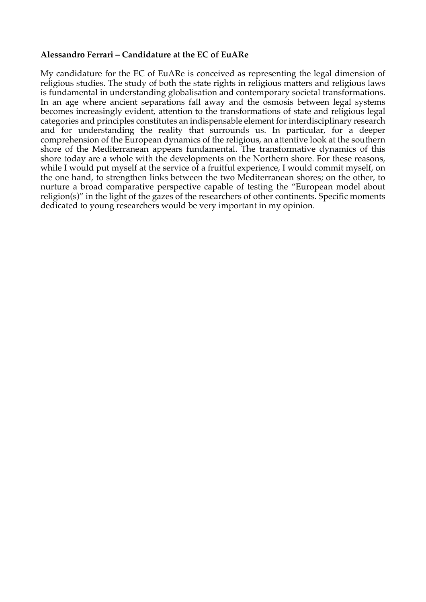## **Alessandro Ferrari – Candidature at the EC of EuARe**

My candidature for the EC of EuARe is conceived as representing the legal dimension of religious studies. The study of both the state rights in religious matters and religious laws is fundamental in understanding globalisation and contemporary societal transformations. In an age where ancient separations fall away and the osmosis between legal systems becomes increasingly evident, attention to the transformations of state and religious legal categories and principles constitutes an indispensable element for interdisciplinary research and for understanding the reality that surrounds us. In particular, for a deeper comprehension of the European dynamics of the religious, an attentive look at the southern shore of the Mediterranean appears fundamental. The transformative dynamics of this shore today are a whole with the developments on the Northern shore. For these reasons, while I would put myself at the service of a fruitful experience, I would commit myself, on the one hand, to strengthen links between the two Mediterranean shores; on the other, to nurture a broad comparative perspective capable of testing the "European model about religion(s)" in the light of the gazes of the researchers of other continents. Specific moments dedicated to young researchers would be very important in my opinion.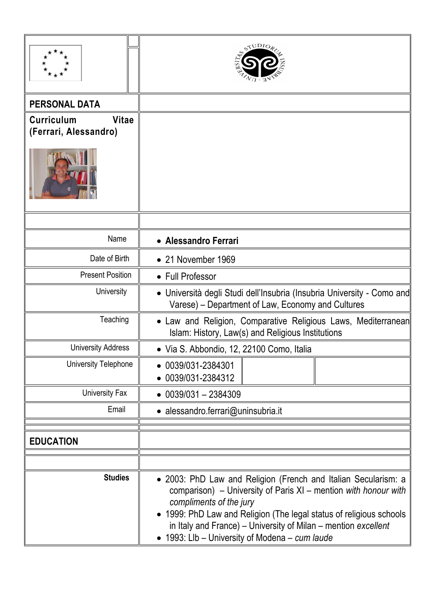|                                                            | STUDIOR                                                                                                                                                                                                                                                                                                                                               |
|------------------------------------------------------------|-------------------------------------------------------------------------------------------------------------------------------------------------------------------------------------------------------------------------------------------------------------------------------------------------------------------------------------------------------|
| <b>PERSONAL DATA</b>                                       |                                                                                                                                                                                                                                                                                                                                                       |
| <b>Vitae</b><br><b>Curriculum</b><br>(Ferrari, Alessandro) |                                                                                                                                                                                                                                                                                                                                                       |
|                                                            |                                                                                                                                                                                                                                                                                                                                                       |
|                                                            |                                                                                                                                                                                                                                                                                                                                                       |
| Name                                                       | • Alessandro Ferrari                                                                                                                                                                                                                                                                                                                                  |
| Date of Birth                                              | • 21 November 1969                                                                                                                                                                                                                                                                                                                                    |
| <b>Present Position</b>                                    | • Full Professor                                                                                                                                                                                                                                                                                                                                      |
| University                                                 | • Università degli Studi dell'Insubria (Insubria University - Como and<br>Varese) – Department of Law, Economy and Cultures                                                                                                                                                                                                                           |
| Teaching                                                   | Law and Religion, Comparative Religious Laws, Mediterranean<br>Islam: History, Law(s) and Religious Institutions                                                                                                                                                                                                                                      |
| <b>University Address</b>                                  | • Via S. Abbondio, 12, 22100 Como, Italia                                                                                                                                                                                                                                                                                                             |
| University Telephone                                       | $\bullet$ 0039/031-2384301<br>$-0039/031-2384312$                                                                                                                                                                                                                                                                                                     |
| University Fax                                             | $\bullet$ 0039/031 - 2384309                                                                                                                                                                                                                                                                                                                          |
| Email                                                      | · alessandro.ferrari@uninsubria.it                                                                                                                                                                                                                                                                                                                    |
| <b>EDUCATION</b>                                           |                                                                                                                                                                                                                                                                                                                                                       |
|                                                            |                                                                                                                                                                                                                                                                                                                                                       |
| <b>Studies</b>                                             | • 2003: PhD Law and Religion (French and Italian Secularism: a<br>comparison) – University of Paris XI – mention with honour with<br>compliments of the jury<br>1999: PhD Law and Religion (The legal status of religious schools<br>in Italy and France) – University of Milan – mention excellent<br>• 1993: Llb - University of Modena - cum laude |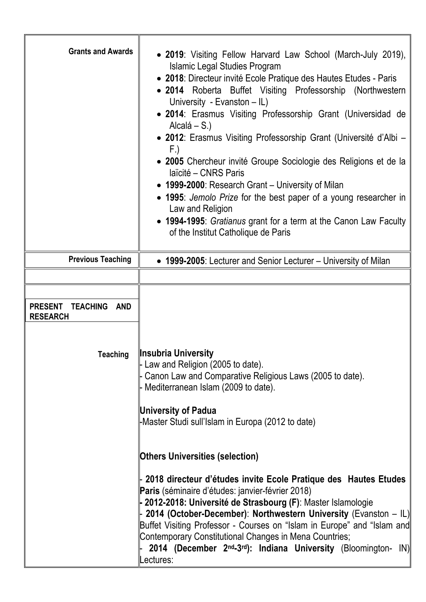| <b>Grants and Awards</b>                             | • 2019: Visiting Fellow Harvard Law School (March-July 2019),<br><b>Islamic Legal Studies Program</b><br>• 2018: Directeur invité Ecole Pratique des Hautes Etudes - Paris<br>• 2014 Roberta Buffet Visiting Professorship (Northwestern<br>University - Evanston - IL)<br>• 2014: Erasmus Visiting Professorship Grant (Universidad de<br>Alcalá $- S.$<br>• 2012: Erasmus Visiting Professorship Grant (Université d'Albi –<br>F.)<br>• 2005 Chercheur invité Groupe Sociologie des Religions et de la<br>laïcité – CNRS Paris<br>• 1999-2000: Research Grant – University of Milan<br>• 1995: Jemolo Prize for the best paper of a young researcher in<br>Law and Religion<br>• 1994-1995: Gratianus grant for a term at the Canon Law Faculty<br>of the Institut Catholique de Paris |
|------------------------------------------------------|------------------------------------------------------------------------------------------------------------------------------------------------------------------------------------------------------------------------------------------------------------------------------------------------------------------------------------------------------------------------------------------------------------------------------------------------------------------------------------------------------------------------------------------------------------------------------------------------------------------------------------------------------------------------------------------------------------------------------------------------------------------------------------------|
| <b>Previous Teaching</b>                             | • 1999-2005: Lecturer and Senior Lecturer – University of Milan                                                                                                                                                                                                                                                                                                                                                                                                                                                                                                                                                                                                                                                                                                                          |
| <b>PRESENT</b><br>TEACHING<br>AND<br><b>RESEARCH</b> |                                                                                                                                                                                                                                                                                                                                                                                                                                                                                                                                                                                                                                                                                                                                                                                          |
| Teaching                                             | ∥Insubria University<br>Law and Religion (2005 to date).<br>Canon Law and Comparative Religious Laws (2005 to date).<br>Mediterranean Islam (2009 to date).<br><b>University of Padua</b><br>Master Studi sull'Islam in Europa (2012 to date)                                                                                                                                                                                                                                                                                                                                                                                                                                                                                                                                            |
|                                                      | <b>Others Universities (selection)</b>                                                                                                                                                                                                                                                                                                                                                                                                                                                                                                                                                                                                                                                                                                                                                   |
|                                                      | 2018 directeur d'études invite Ecole Pratique des Hautes Etudes<br>Paris (séminaire d'études: janvier-février 2018)<br>2012-2018: Université de Strasbourg (F): Master Islamologie<br>2014 (October-December): Northwestern University (Evanston - IL)<br>Buffet Visiting Professor - Courses on "Islam in Europe" and "Islam and<br>Contemporary Constitutional Changes in Mena Countries;<br>2014 (December 2 <sup>nd</sup> -3 <sup>rd</sup> ): Indiana University (Bloomington-<br>IN)<br>ectures:                                                                                                                                                                                                                                                                                    |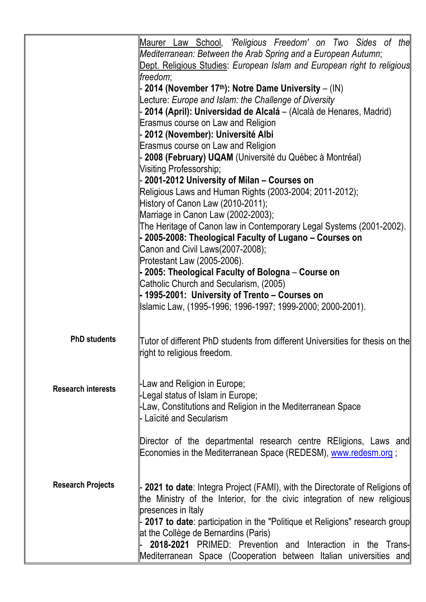|                           | Maurer Law School, 'Religious Freedom' on Two Sides of the                                                                      |
|---------------------------|---------------------------------------------------------------------------------------------------------------------------------|
|                           | Mediterranean: Between the Arab Spring and a European Autumn;                                                                   |
|                           | Dept. Religious Studies: European Islam and European right to religious                                                         |
|                           | freedom:                                                                                                                        |
|                           | 2014 (November 17th): Notre Dame University $-$ (IN)<br>Lecture: Europe and Islam: the Challenge of Diversity                   |
|                           | 2014 (April): Universidad de Alcalá - (Alcalà de Henares, Madrid)                                                               |
|                           | Erasmus course on Law and Religion                                                                                              |
|                           | 2012 (November): Université Albi                                                                                                |
|                           | Erasmus course on Law and Religion                                                                                              |
|                           | 2008 (February) UQAM (Université du Québec à Montréal)                                                                          |
|                           | Visiting Professorship;                                                                                                         |
|                           | 2001-2012 University of Milan - Courses on                                                                                      |
|                           | Religious Laws and Human Rights (2003-2004; 2011-2012);                                                                         |
|                           | History of Canon Law (2010-2011);                                                                                               |
|                           | Marriage in Canon Law (2002-2003);                                                                                              |
|                           | The Heritage of Canon law in Contemporary Legal Systems (2001-2002).<br>- 2005-2008: Theological Faculty of Lugano – Courses on |
|                           | Canon and Civil Laws(2007-2008);                                                                                                |
|                           | Protestant Law (2005-2006).                                                                                                     |
|                           | - 2005: Theological Faculty of Bologna – Course on                                                                              |
|                           | Catholic Church and Secularism, (2005)                                                                                          |
|                           | - 1995-2001: University of Trento – Courses on                                                                                  |
|                           | Islamic Law, (1995-1996; 1996-1997; 1999-2000; 2000-2001).                                                                      |
|                           |                                                                                                                                 |
| <b>PhD students</b>       | Tutor of different PhD students from different Universities for thesis on the                                                   |
|                           | ∥right to religious freedom.                                                                                                    |
|                           |                                                                                                                                 |
|                           |                                                                                                                                 |
| <b>Research interests</b> | -Law and Religion in Europe;<br>-Legal status of Islam in Europe;                                                               |
|                           | -Law, Constitutions and Religion in the Mediterranean Space                                                                     |
|                           | - Laïcité and Secularism                                                                                                        |
|                           |                                                                                                                                 |
|                           | Director of the departmental research centre REligions, Laws and                                                                |
|                           | Economies in the Mediterranean Space (REDESM), www.redesm.org;                                                                  |
|                           |                                                                                                                                 |
| <b>Research Projects</b>  |                                                                                                                                 |
|                           | 2021 to date: Integra Project (FAMI), with the Directorate of Religions of                                                      |
|                           | the Ministry of the Interior, for the civic integration of new religious<br>presences in Italy                                  |
|                           | - 2017 to date: participation in the "Politique et Religions" research group                                                    |
|                           | at the Collège de Bernardins (Paris)                                                                                            |
|                           | 2018-2021 PRIMED: Prevention and Interaction in the Trans-                                                                      |
|                           | Mediterranean Space (Cooperation between Italian universities and                                                               |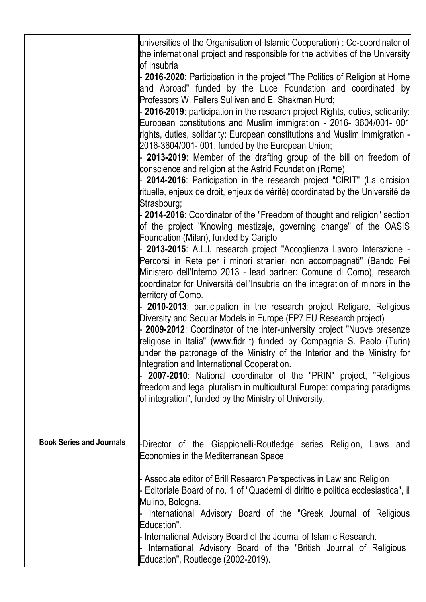|                                 | ∥universities of the Organisation of Islamic Cooperation) : Co-coordinator of∥<br>the international project and responsible for the activities of the University                                                                                                                                  |
|---------------------------------|---------------------------------------------------------------------------------------------------------------------------------------------------------------------------------------------------------------------------------------------------------------------------------------------------|
|                                 | of Insubria<br><b>2016-2020</b> : Participation in the project "The Politics of Religion at Home<br>and Abroad" funded by the Luce Foundation and coordinated by<br>Professors W. Fallers Sullivan and E. Shakman Hurd;                                                                           |
|                                 | 2016-2019: participation in the research project Rights, duties, solidarity:<br>European constitutions and Muslim immigration - 2016- 3604/001- 001<br>rights, duties, solidarity: European constitutions and Muslim immigration -                                                                |
|                                 | 2016-3604/001-001, funded by the European Union;<br>2013-2019: Member of the drafting group of the bill on freedom of                                                                                                                                                                             |
|                                 | conscience and religion at the Astrid Foundation (Rome).<br>2014-2016: Participation in the research project "CIRIT" (La circision<br>rituelle, enjeux de droit, enjeux de vérité) coordinated by the Université de                                                                               |
|                                 | Strasbourg;<br>2014-2016: Coordinator of the "Freedom of thought and religion" section<br>of the project "Knowing mestizaje, governing change" of the OASIS<br>Foundation (Milan), funded by Cariplo                                                                                              |
|                                 | 2013-2015: A.L.I. research project "Accoglienza Lavoro Interazione -<br>∥Percorsi in Rete per i minori stranieri non accompagnati" (Bando Fei∥<br>Ministero dell'Interno 2013 - lead partner: Comune di Como), research                                                                           |
|                                 | coordinator for Università dell'Insubria on the integration of minors in the<br>territory of Como.<br>2010-2013: participation in the research project Religare, Religious                                                                                                                        |
|                                 | Diversity and Secular Models in Europe (FP7 EU Research project)<br>2009-2012: Coordinator of the inter-university project "Nuove presenze<br>religiose in Italia" (www.fidr.it) funded by Compagnia S. Paolo (Turin)<br>under the patronage of the Ministry of the Interior and the Ministry for |
|                                 | Integration and International Cooperation.<br>2007-2010: National coordinator of the "PRIN" project, "Religious<br>∥freedom and legal pluralism in multicultural Europe: comparing paradigms  <br>of integration", funded by the Ministry of University.                                          |
| <b>Book Series and Journals</b> | Director of the Giappichelli-Routledge series Religion, Laws and<br>Economies in the Mediterranean Space                                                                                                                                                                                          |
|                                 | Associate editor of Brill Research Perspectives in Law and Religion<br>Editoriale Board of no. 1 of "Quaderni di diritto e politica ecclesiastica", il<br>Mulino, Bologna.                                                                                                                        |
|                                 | International Advisory Board of the "Greek Journal of Religious<br>Education".<br>International Advisory Board of the Journal of Islamic Research.                                                                                                                                                |
|                                 | International Advisory Board of the "British Journal of Religious<br>Education", Routledge (2002-2019).                                                                                                                                                                                           |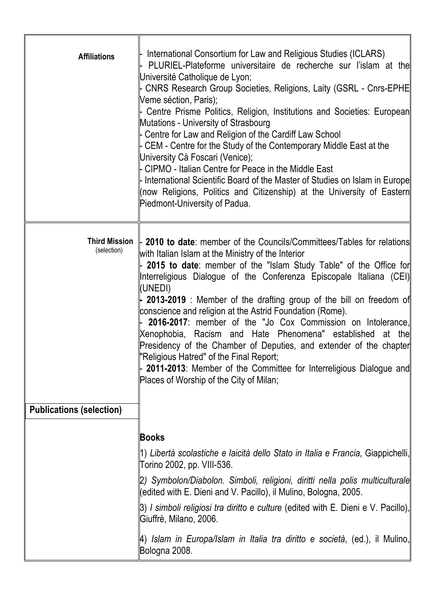| <b>Affiliations</b>                 | International Consortium for Law and Religious Studies (ICLARS)<br>PLURIEL-Plateforme universitaire de recherche sur l'islam at the<br>Université Catholique de Lyon;<br>- CNRS Research Group Societies, Religions, Laity (GSRL - Cnrs-EPHE<br>Veme séction, Paris);<br>Centre Prisme Politics, Religion, Institutions and Societies: European<br>Mutations - University of Strasbourg<br>Centre for Law and Religion of the Cardiff Law School<br>CEM - Centre for the Study of the Contemporary Middle East at the<br>University Cà Foscari (Venice);<br>CIPMO - Italian Centre for Peace in the Middle East<br>- International Scientific Board of the Master of Studies on Islam in Europe<br>(now Religions, Politics and Citizenship) at the University of Eastern∥<br>Piedmont-University of Padua. |
|-------------------------------------|-------------------------------------------------------------------------------------------------------------------------------------------------------------------------------------------------------------------------------------------------------------------------------------------------------------------------------------------------------------------------------------------------------------------------------------------------------------------------------------------------------------------------------------------------------------------------------------------------------------------------------------------------------------------------------------------------------------------------------------------------------------------------------------------------------------|
| <b>Third Mission</b><br>(selection) | 2010 to date: member of the Councils/Committees/Tables for relations<br>with Italian Islam at the Ministry of the Interior<br>2015 to date: member of the "Islam Study Table" of the Office for<br>Interreligious Dialogue of the Conferenza Episcopale Italiana (CEI)<br>(UNEDI)<br>$\vert$ 2013-2019 : Member of the drafting group of the bill on freedom of<br>conscience and religion at the Astrid Foundation (Rome).<br>2016-2017: member of the "Jo Cox Commission on Intolerance,<br>Xenophobia, Racism and Hate Phenomena" established at the<br>Presidency of the Chamber of Deputies, and extender of the chapter<br>"Religious Hatred" of the Final Report;<br>2011-2013: Member of the Committee for Interreligious Dialogue and<br>Places of Worship of the City of Milan;                   |
| <b>Publications (selection)</b>     |                                                                                                                                                                                                                                                                                                                                                                                                                                                                                                                                                                                                                                                                                                                                                                                                             |
|                                     | <b>Books</b><br>1) Libertà scolastiche e laicità dello Stato in Italia e Francia, Giappichelli,<br>Torino 2002, pp. VIII-536.<br>2) Symbolon/Diabolon. Simboli, religioni, diritti nella polis multiculturale<br>(edited with E. Dieni and V. Pacillo), il Mulino, Bologna, 2005.<br>3) I simboli religiosi tra diritto e culture (edited with E. Dieni e V. Pacillo),<br>Giuffrè, Milano, 2006.<br>4) Islam in Europa/Islam in Italia tra diritto e società, (ed.), il Mulino,<br>Bologna 2008.                                                                                                                                                                                                                                                                                                            |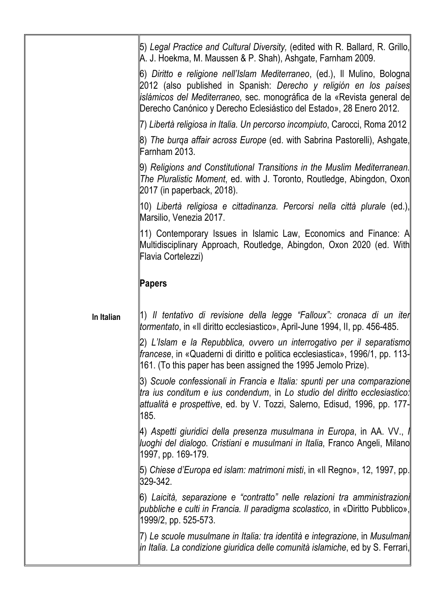|            | [5) Legal Practice and Cultural Diversity, (edited with R. Ballard, R. Grillo,<br>IA. J. Hoekma, M. Maussen & P. Shah), Ashgate, Farnham 2009.                                                                                                                                                           |
|------------|----------------------------------------------------------------------------------------------------------------------------------------------------------------------------------------------------------------------------------------------------------------------------------------------------------|
|            | 6) Diritto e religione nell'Islam Mediterraneo, (ed.), Il Mulino, Bologna  <br>  2012 (also published in Spanish: Derecho y religión en los países  <br> islámicos del Mediterraneo, sec. monográfica de la «Revista general de  <br>Derecho Canónico y Derecho Eclesiástico del Estado», 28 Enero 2012. |
|            | 7) Libertà religiosa in Italia. Un percorso incompiuto, Carocci, Roma 2012                                                                                                                                                                                                                               |
|            | 8) <i>The burqa affair across Europe</i> (ed. with Sabrina Pastorelli), Ashgate,  <br>Farnham 2013.                                                                                                                                                                                                      |
|            | 9) Religions and Constitutional Transitions in the Muslim Mediterranean.  <br>The Pluralistic Moment, ed. with J. Toronto, Routledge, Abingdon, Oxon<br>2017 (in paperback, 2018).                                                                                                                       |
|            | 10) Libertà religiosa e cittadinanza. Percorsi nella città plurale (ed.), <br>Marsilio, Venezia 2017.                                                                                                                                                                                                    |
|            | 11) Contemporary Issues in Islamic Law, Economics and Finance: A  <br>Multidisciplinary Approach, Routledge, Abingdon, Oxon 2020 (ed. With<br>Flavia Cortelezzi)                                                                                                                                         |
|            | Papers                                                                                                                                                                                                                                                                                                   |
| In Italian | ∥1) Il tentativo di revisione della legge "Falloux": cronaca di un iter∥<br>tormentato, in «Il diritto ecclesiastico», April-June 1994, II, pp. 456-485.                                                                                                                                                 |
|            | 2) L'Islam e la Repubblica, ovvero un interrogativo per il separatismo  <br> francese, in «Quaderni di diritto e politica ecclesiastica», 1996/1, pp. 113-<br>[161. (To this paper has been assigned the 1995 Jemolo Prize).                                                                             |
|            | β) Scuole confessionali in Francia e Italia: spunti per una comparazione  <br>tra ius conditum e ius condendum, in Lo studio del diritto ecclesiastico:<br>attualità e prospettive, ed. by V. Tozzi, Salerno, Edisud, 1996, pp. 177-<br>185.                                                             |
|            | 4) Aspetti giuridici della presenza musulmana in Europa, in AA. VV., ∥<br>∥uoghi del dialogo. Cristiani e musulmani in Italia, Franco Angeli, Milano∥<br>  1997, pp. 169-179.                                                                                                                            |
|            | Б) Chiese d'Europa ed islam: matrimoni misti, in «Il Regno», 12, 1997, pp.<br>329-342.                                                                                                                                                                                                                   |
|            | 6) Laicità, separazione e "contratto" nelle relazioni tra amministrazion∥<br>  pubbliche e culti in Francia. Il paradigma scolastico, in «Diritto Pubblico», <br>1999/2, pp. 525-573.                                                                                                                    |
|            | ∏) Le scuole musulmane in Italia: tra identità e integrazione, in Musulmani  <br>  in Italia. La condizione giuridica delle comunità islamiche, ed by S. Ferrari,                                                                                                                                        |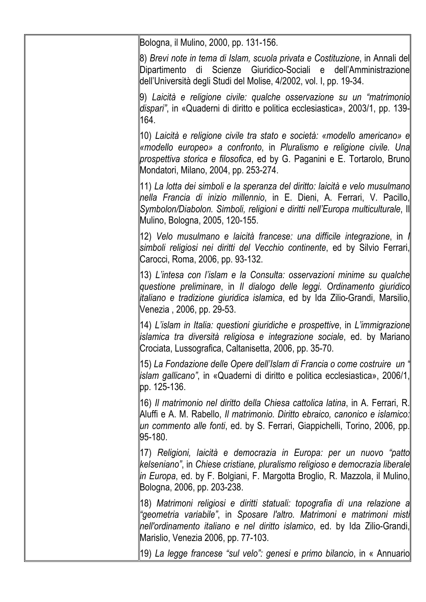| Bologna, il Mulino, 2000, pp. 131-156.                                                                                                                                                                                                                                           |
|----------------------------------------------------------------------------------------------------------------------------------------------------------------------------------------------------------------------------------------------------------------------------------|
| 8) Brevi note in tema di Islam, scuola privata e Costituzione, in Annali del∥<br>Dipartimento di Scienze Giuridico-Sociali e dell'Amministrazione<br>dell'Università degli Studi del Molise, 4/2002, vol. I, pp. 19-34.                                                          |
| 9) Laicità e religione civile: qualche osservazione su un "matrimonio<br>dispari", in «Quaderni di diritto e politica ecclesiastica», 2003/1, pp. 139-<br>164.                                                                                                                   |
| 10) Laicità e religione civile tra stato e società: «modello americano» e<br> «modello europeo» a confronto, in Pluralismo e religione civile. Una  <br>prospettiva storica e filosofica, ed by G. Paganini e E. Tortarolo, Bruno<br>Mondatori, Milano, 2004, pp. 253-274.       |
| ∥11) La lotta dei simboli e la speranza del diritto: laicità e velo musulmano∥<br>nella Francia di inizio millennio, in E. Dieni, A. Ferrari, V. Pacillo,<br>Symbolon/Diabolon. Simboli, religioni e diritti nell'Europa multiculturale, Il<br>  Mulino, Bologna, 2005, 120-155. |
| 12) Velo musulmano e laicità francese: una difficile integrazione, in l<br>simboli religiosi nei diritti del Vecchio continente, ed by Silvio Ferrari,<br>Carocci, Roma, 2006, pp. 93-132.                                                                                       |
| 13) L'intesa con l'islam e la Consulta: osservazioni minime su qualche<br>questione preliminare, in Il dialogo delle leggi. Ordinamento giuridico<br>  italiano e tradizione giuridica islamica, ed by Ida Zilio-Grandi, Marsilio,  <br>Venezia, 2006, pp. 29-53.                |
| 14) L'islam in Italia: questioni giuridiche e prospettive, in L'immigrazione  <br> islamica tra diversità religiosa e integrazione sociale, ed. by Mariano  <br>Crociata, Lussografica, Caltanisetta, 2006, pp. 35-70.                                                           |
| 15) La Fondazione delle Opere dell'Islam di Francia o come costruire  un " <br>  islam gallicano", in «Quaderni di diritto e politica ecclesiastica», 2006/1,  <br>lpp. 125-136.                                                                                                 |
| 16) Il matrimonio nel diritto della Chiesa cattolica latina, in A. Ferrari, R.  <br>Aluffi e A. M. Rabello, Il matrimonio. Diritto ebraico, canonico e islamico:<br>lun commento alle fonti, ed. by S. Ferrari, Giappichelli, Torino, 2006, pp.<br>95-180.                       |
| 17) Religioni, laicità e democrazia in Europa: per un nuovo "patto  <br>kelseniano", in Chiese cristiane, pluralismo religioso e democrazia liberale<br> in Europa, ed. by F. Bolgiani, F. Margotta Broglio, R. Mazzola, il Mulino,<br>Bologna, 2006, pp. 203-238.               |
| 18) Matrimoni religiosi e diritti statuali: topografia di una relazione a<br>"geometria variabile", in Sposare l'altro. Matrimoni e matrimoni misti<br> nell'ordinamento italiano e nel diritto islamico, ed. by Ida Zilio-Grandi,  <br>Marislio, Venezia 2006, pp. 77-103.      |
| 19) La legge francese "sul velo": genesi e primo bilancio, in « Annuario                                                                                                                                                                                                         |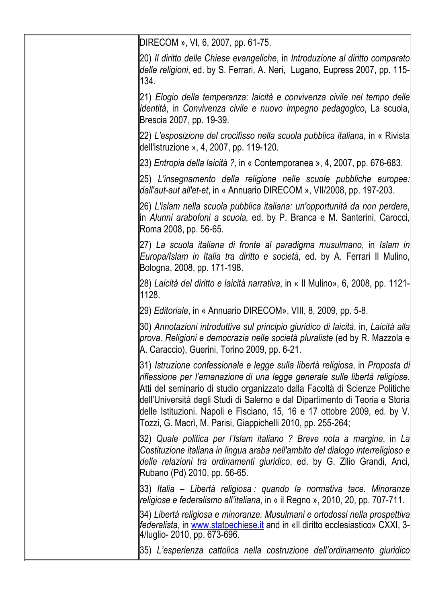| DIRECOM », VI, 6, 2007, pp. 61-75.                                                                                                                                                                                                                                                                                                                                                                                                                                      |
|-------------------------------------------------------------------------------------------------------------------------------------------------------------------------------------------------------------------------------------------------------------------------------------------------------------------------------------------------------------------------------------------------------------------------------------------------------------------------|
| [20) Il diritto delle Chiese evangeliche, in Introduzione al diritto comparato<br>delle religioni, ed. by S. Ferrari, A. Neri, Lugano, Eupress 2007, pp. 115-<br>134.                                                                                                                                                                                                                                                                                                   |
| [21) Elogio della temperanza: laicità e convivenza civile nel tempo delle<br>lidentità, in Convivenza civile e nuovo impegno pedagogico, La scuola,<br>Brescia 2007, pp. 19-39.                                                                                                                                                                                                                                                                                         |
| 22) L'esposizione del crocifisso nella scuola pubblica italiana, in « Rivista  <br>dell'istruzione », 4, 2007, pp. 119-120.                                                                                                                                                                                                                                                                                                                                             |
| 23) Entropia della laicità ?, in « Contemporanea », 4, 2007, pp. 676-683.                                                                                                                                                                                                                                                                                                                                                                                               |
| [25) L'insegnamento della religione nelle scuole pubbliche europee:<br>dall'aut-aut all'et-et, in « Annuario DIRECOM », VII/2008, pp. 197-203.                                                                                                                                                                                                                                                                                                                          |
| 26) L'islam nella scuola pubblica italiana: un'opportunità da non perdere,  <br>lin Alunni arabofoni a scuola, ed. by P. Branca e M. Santerini, Carocci,<br>Roma 2008, pp. 56-65.                                                                                                                                                                                                                                                                                       |
| 27) La scuola italiana di fronte al paradigma musulmano, in Islam in<br>Europa/Islam in Italia tra diritto e società, ed. by A. Ferrari II Mulino,<br>Bologna, 2008, pp. 171-198.                                                                                                                                                                                                                                                                                       |
| 28) Laicità del diritto e laicità narrativa, in « Il Mulino», 6, 2008, pp. 1121-<br>∥1128.                                                                                                                                                                                                                                                                                                                                                                              |
| [29) Editoriale, in « Annuario DIRECOM», VIII, 8, 2009, pp. 5-8.                                                                                                                                                                                                                                                                                                                                                                                                        |
| 30) Annotazioni introduttive sul principio giuridico di laicità, in, Laicità alla  <br>∥prova. Religioni e democrazia nelle società pluraliste (ed by R. Mazzola e∥<br>A. Caraccio), Guerini, Torino 2009, pp. 6-21.                                                                                                                                                                                                                                                    |
| 31) Istruzione confessionale e legge sulla libertà religiosa, in Proposta d∤ <br>riflessione per l'emanazione di una legge generale sulle libertà religiose.<br>Atti del seminario di studio organizzato dalla Facoltà di Scienze Politiche<br>dell'Università degli Studi di Salerno e dal Dipartimento di Teoria e Storia<br>delle Istituzioni. Napoli e Fisciano, 15, 16 e 17 ottobre 2009, ed. by V.<br>Tozzi, G. Macrì, M. Parisi, Giappichelli 2010, pp. 255-264; |
| 32) Quale politica per l'Islam italiano ? Breve nota a margine, in La<br>Costituzione italiana in lingua araba nell'ambito del dialogo interreligioso e<br>delle relazioni tra ordinamenti giuridico, ed. by G. Zilio Grandi, Anci,<br>Rubano (Pd) 2010, pp. 56-65.                                                                                                                                                                                                     |
| 33) Italia – Libertà religiosa : quando la normativa tace. Minoranze  <br>religiose e federalismo all'italiana, in « il Regno », 2010, 20, pp. 707-711.                                                                                                                                                                                                                                                                                                                 |
| 34) Libertà religiosa e minoranze. Musulmani e ortodossi nella prospettiva  <br>∥ <i>federalista</i> , in <u>www.statoechiese.it</u> and in «Il diritto ecclesiastico» CXXI, 3-∣<br>4/luglio- 2010, pp. 673-696.                                                                                                                                                                                                                                                        |
| [35) L'esperienza cattolica nella costruzione dell'ordinamento giuridico                                                                                                                                                                                                                                                                                                                                                                                                |
|                                                                                                                                                                                                                                                                                                                                                                                                                                                                         |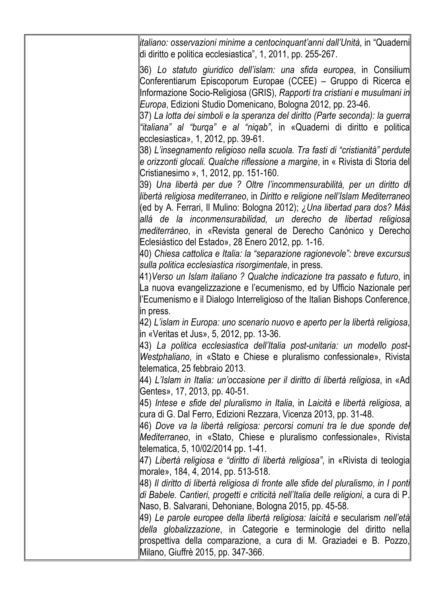| ∥italiano: osservazioni minime a centocinquant'anni dall'Unità, in "Quaderni∥<br>di diritto e politica ecclesiastica", 1, 2011, pp. 255-267.                                                                                                                                                                                                                                                                                                           |
|--------------------------------------------------------------------------------------------------------------------------------------------------------------------------------------------------------------------------------------------------------------------------------------------------------------------------------------------------------------------------------------------------------------------------------------------------------|
| 36) Lo statuto giuridico dell'islam: una sfida europea, in Consilium<br>Conferentiarum Episcoporum Europae (CCEE) – Gruppo di Ricerca e<br>∥Informazione Socio-Religiosa (GRIS), Rapporti tra cristiani e musulmani in∥<br>Europa, Edizioni Studio Domenicano, Bologna 2012, pp. 23-46.<br> 37) La lotta dei simboli e la speranza del diritto (Parte seconda): la guerra  <br> "italiana" al "burqa" e al "niqab", in «Quaderni di diritto e politica |
| ecclesiastica», 1, 2012, pp. 39-61.<br>38) L'insegnamento religioso nella scuola. Tra fasti di "cristianità" perdute<br>∥e orizzonti glocali. Qualche riflessione a margine, in « Rivista di Storia del∥                                                                                                                                                                                                                                               |
| Cristianesimo », 1, 2012, pp. 151-160.<br> 39) Una libertà per due ? Oltre l'incommensurabilità, per un diritto di                                                                                                                                                                                                                                                                                                                                     |
| libertà religiosa mediterraneo, in Diritto e religione nell'Islam Mediterraneo  <br>∥(ed by A. Ferrari, Il Mulino: Bologna 2012); ¿Una libertad para dos? Más<br>allá de la inconmensurabilidad, un derecho de libertad religiosa                                                                                                                                                                                                                      |
| mediterráneo, in «Revista general de Derecho Canónico y Derecho<br>Eclesiástico del Estado», 28 Enero 2012, pp. 1-16.<br>  40) Chiesa cattolica e Italia: la "separazione ragionevole": breve excursus                                                                                                                                                                                                                                                 |
| sulla politica ecclesiastica risorgimentale, in press.<br> 41)Verso un Islam italiano ? Qualche indicazione tra passato e futuro, in  <br>La nuova evangelizzazione e l'ecumenismo, ed by Ufficio Nazionale per                                                                                                                                                                                                                                        |
| ll'Ecumenismo e il Dialogo Interreligioso of the Italian Bishops Conference,<br>lin press.                                                                                                                                                                                                                                                                                                                                                             |
| 42) L'islam in Europa: uno scenario nuovo e aperto per la libertà religiosa, <br>lin «Veritas et Jus», 5, 2012, pp. 13-36.<br>∥43) La politica ecclesiastica dell'Italia post-unitaria: un modello post-∥                                                                                                                                                                                                                                              |
| ∥Westphaliano, in «Stato e Chiese e pluralismo confessionale», Rivista∥<br>telematica, 25 febbraio 2013.                                                                                                                                                                                                                                                                                                                                               |
| 44) L'Islam in Italia: un'occasione per il diritto di libertà religiosa, in «Ad  <br>Gentes», 17, 2013, pp. 40-51.<br> 45) Intese e sfide del pluralismo in Italia, in Laicità e libertà religiosa, a∥                                                                                                                                                                                                                                                 |
| cura di G. Dal Ferro, Edizioni Rezzara, Vicenza 2013, pp. 31-48.<br>  46) Dove va la libertà religiosa: percorsi comuni tra le due sponde del                                                                                                                                                                                                                                                                                                          |
| Mediterraneo, in «Stato, Chiese e pluralismo confessionale», Rivista<br> telematica, 5, 10/02/2014 pp. 1-41.<br>  47) Libertà religiosa e "diritto di libertà religiosa", in «Rivista di teologia                                                                                                                                                                                                                                                      |
| morale», 184, 4, 2014, pp. 513-518.<br>  48) Il diritto di libertà religiosa di fronte alle sfide del pluralismo, in I ponti                                                                                                                                                                                                                                                                                                                           |
| di Babele. Cantieri, progetti e criticità nell'Italia delle religioni, a cura di P.<br>  Naso, B. Salvarani, Dehoniane, Bologna 2015, pp. 45-58.<br>  49) Le parole europee della libertà religiosa: laicità e secularism nell'età                                                                                                                                                                                                                     |
| della globalizzazione, in Categorie e terminologie del diritto nella<br>prospettiva della comparazione, a cura di M. Graziadei e B. Pozzo,<br>Milano, Giuffrè 2015, pp. 347-366.                                                                                                                                                                                                                                                                       |
|                                                                                                                                                                                                                                                                                                                                                                                                                                                        |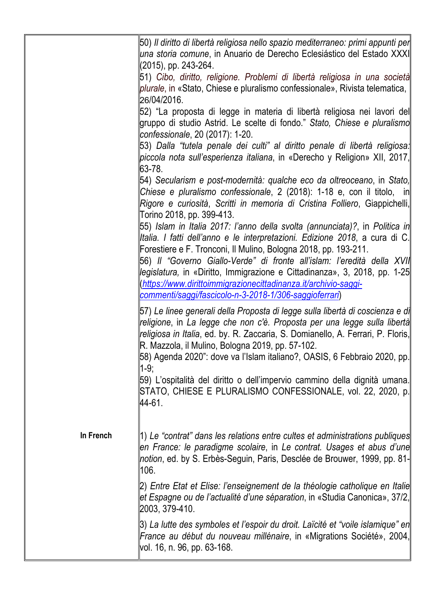|           | 50) Il diritto di libertà religiosa nello spazio mediterraneo: primi appunti per  <br>  una storia comune, in Anuario de Derecho Eclesiástico del Estado XXXI <br>$(2015)$ , pp. 243-264.                                                                                                                                                                                                                                                                                                                                  |
|-----------|----------------------------------------------------------------------------------------------------------------------------------------------------------------------------------------------------------------------------------------------------------------------------------------------------------------------------------------------------------------------------------------------------------------------------------------------------------------------------------------------------------------------------|
|           | 51) Cibo, diritto, religione. Problemi di libertà religiosa in una società<br>plurale, in «Stato, Chiese e pluralismo confessionale», Rivista telematica,<br>26/04/2016.                                                                                                                                                                                                                                                                                                                                                   |
|           | 52) "La proposta di legge in materia di libertà religiosa nei lavori del<br>gruppo di studio Astrid. Le scelte di fondo." Stato, Chiese e pluralismo<br>confessionale, 20 (2017): 1-20.                                                                                                                                                                                                                                                                                                                                    |
|           | 53) Dalla "tutela penale dei culti" al diritto penale di libertà religiosa:<br>piccola nota sull'esperienza italiana, in «Derecho y Religion» XII, 2017,<br>63-78.                                                                                                                                                                                                                                                                                                                                                         |
|           | 54) Secularism e post-modernità: qualche eco da oltreoceano, in Stato,<br>Chiese e pluralismo confessionale, 2 (2018): 1-18 e, con il titolo, in<br>Rigore e curiosità, Scritti in memoria di Cristina Folliero, Giappichelli,<br>Torino 2018, pp. 399-413.                                                                                                                                                                                                                                                                |
|           | 55) Islam in Italia 2017: l'anno della svolta (annunciata)?, in Politica in<br>  Italia. I fatti dell'anno e le interpretazioni. Edizione 2018, a cura di C.<br>∥Forestiere e F. Tronconi, Il Mulino, Bologna 2018, pp. 193-211.<br> 56) Il "Governo Giallo-Verde" di fronte all'islam: l'eredità della XVII<br>  legislatura, in «Diritto, Immigrazione e Cittadinanza», 3, 2018, pp. 1-25  <br>khttps://www.dirittoimmigrazionecittadinanza.it/archivio-saggi-<br>commenti/saggi/fascicolo-n-3-2018-1/306-saggioferrari) |
|           | 57) Le linee generali della Proposta di legge sulla libertà di coscienza e di<br>religione, in La legge che non c'è. Proposta per una legge sulla libertà<br>religiosa in Italia, ed. by. R. Zaccaria, S. Domianello, A. Ferrari, P. Floris,<br>R. Mazzola, il Mulino, Bologna 2019, pp. 57-102.<br> 58) Agenda 2020": dove va l'Islam italiano?, OASIS, 6 Febbraio 2020, pp.<br>$ 1-9;$                                                                                                                                   |
|           | 59) L'ospitalità del diritto o dell'impervio cammino della dignità umana.<br>  STATO, CHIESE E PLURALISMO CONFESSIONALE, vol. 22, 2020, p.<br>l44-61.                                                                                                                                                                                                                                                                                                                                                                      |
| In French | 1) Le "contrat" dans les relations entre cultes et administrations publiques<br>en France: le paradigme scolaire, in Le contrat. Usages et abus d'une<br> notion, ed. by S. Erbès-Seguin, Paris, Desclée de Brouwer, 1999, pp. 81-<br> 106.                                                                                                                                                                                                                                                                                |
|           | 2) Entre Etat et Elise: l'enseignement de la théologie catholique en Italie<br>et Espagne ou de l'actualité d'une séparation, in «Studia Canonica», 37/2,<br>2003, 379-410.                                                                                                                                                                                                                                                                                                                                                |
|           | 3) La lutte des symboles et l'espoir du droit. Laïcité et "voile islamique" en<br>France au début du nouveau millénaire, in «Migrations Société», 2004,<br>  vol. 16, n. 96, pp. 63-168.                                                                                                                                                                                                                                                                                                                                   |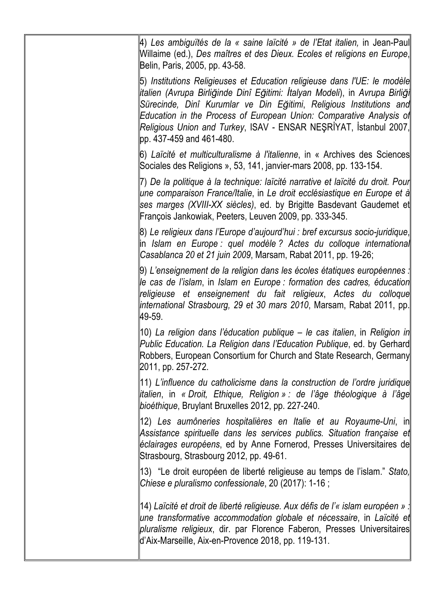| 4) Les ambiguïtés de la « saine laïcité » de l'Etat italien, in Jean-Paul∥<br>  Willaime (ed.), Des maîtres et des Dieux. Ecoles et religions en Europe,  <br>Belin, Paris, 2005, pp. 43-58.                                                                                                                                                                                                                     |
|------------------------------------------------------------------------------------------------------------------------------------------------------------------------------------------------------------------------------------------------------------------------------------------------------------------------------------------------------------------------------------------------------------------|
| [5) Institutions Religieuses et Education religieuse dans l'UE: le modèle  <br>  italien (Avrupa Birliğinde Dinî Eğitimi: İtalyan Modeli), in Avrupa Birliği  <br>Sürecinde, Dinî Kurumlar ve Din Eğitimi, Religious Institutions and<br>Education in the Process of European Union: Comparative Analysis of<br> Religious Union and Turkey, ISAV - ENSAR NEŞRİYAT, İstanbul 2007, <br>lpp. 437-459 and 461-480. |
| 6) Laïcité et multiculturalisme à l'italienne, in « Archives des Sciences  <br>Sociales des Religions », 53, 141, janvier-mars 2008, pp. 133-154.                                                                                                                                                                                                                                                                |
| ∥7) De la politique à la technique: laïcité narrative et laïcité du droit. Pour∥<br>∥une comparaison France/Italie, in Le droit ecclésiastique en Europe et à  <br>ses marges (XVIII-XX siècles), ed. by Brigitte Basdevant Gaudemet et<br>François Jankowiak, Peeters, Leuven 2009, pp. 333-345.                                                                                                                |
| 8) Le religieux dans l'Europe d'aujourd'hui : bref excursus socio-juridique,  <br>lin Islam en Europe : quel modèle ? Actes du colloque international<br>Casablanca 20 et 21 juin 2009, Marsam, Rabat 2011, pp. 19-26;                                                                                                                                                                                           |
| 9) L'enseignement de la religion dans les écoles étatiques européennes :<br> le cas de l'islam, in Islam en Europe : formation des cadres, éducation  <br>religieuse et enseignement du fait religieux, Actes du colloque<br> international Strasbourg, 29 et 30 mars 2010, Marsam, Rabat 2011, pp. <br>49-59.                                                                                                   |
| [10) La religion dans l'éducation publique – le cas italien, in Religion in<br>Public Education. La Religion dans l'Education Publique, ed. by Gerhard<br>Robbers, European Consortium for Church and State Research, Germany<br>2011, pp. 257-272.                                                                                                                                                              |
| 11) L'influence du catholicisme dans la construction de l'ordre juridique  <br> italien, in « Droit, Ethique, Religion » : de l'âge théologique à l'âge  <br>bioéthique, Bruylant Bruxelles 2012, pp. 227-240.                                                                                                                                                                                                   |
| 12) Les aumôneries hospitalières en Italie et au Royaume-Uni, in∥<br>Assistance spirituelle dans les services publics. Situation française et<br>eclairages européens, ed by Anne Fornerod, Presses Universitaires de<br>Strasbourg, Strasbourg 2012, pp. 49-61.                                                                                                                                                 |
| 13) "Le droit européen de liberté religieuse au temps de l'islam." Stato,<br>Chiese e pluralismo confessionale, 20 (2017): 1-16 ;                                                                                                                                                                                                                                                                                |
| [14) Laïcité et droit de liberté religieuse. Aux défis de l'« islam européen » :<br>∥une transformative accommodation globale et nécessaire, in Laïcité et∥<br>pluralisme religieux, dir. par Florence Faberon, Presses Universitaires<br>d'Aix-Marseille, Aix-en-Provence 2018, pp. 119-131.                                                                                                                    |
|                                                                                                                                                                                                                                                                                                                                                                                                                  |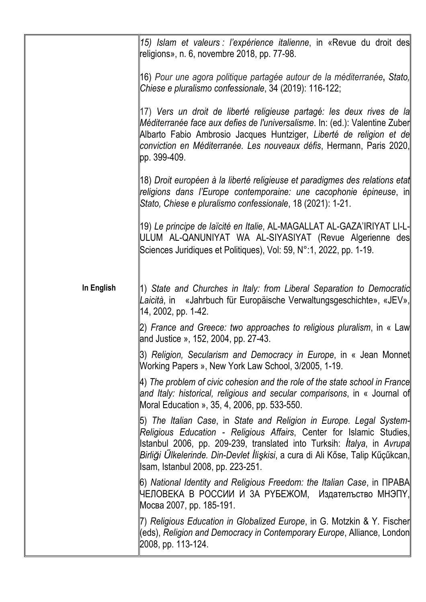|            | 15) Islam et valeurs : l'expérience italienne, in «Revue du droit des  <br>religions», n. 6, novembre 2018, pp. 77-98.                                                                                                                                                                                                                                |
|------------|-------------------------------------------------------------------------------------------------------------------------------------------------------------------------------------------------------------------------------------------------------------------------------------------------------------------------------------------------------|
|            | 16) Pour une agora politique partagée autour de la méditerranée, Stato,<br>Chiese e pluralismo confessionale, 34 (2019): 116-122;                                                                                                                                                                                                                     |
|            | 17) Vers un droit de liberté religieuse partagé: les deux rives de la<br>Méditerranée face aux defies de l'universalisme. In: (ed.): Valentine Zuber<br>Albarto Fabio Ambrosio Jacques Huntziger, Liberté de religion et de<br>conviction en Méditerranée. Les nouveaux défis, Hermann, Paris 2020,<br>lpp. 399-409.                                  |
|            | 18) Droit européen à la liberté religieuse et paradigmes des relations etat<br>religions dans l'Europe contemporaine: une cacophonie épineuse, in<br>Stato, Chiese e pluralismo confessionale, 18 (2021): 1-21.                                                                                                                                       |
|            | 19) <i>Le principe de laïcité en Italie</i> , AL-MAGALLAT AL-GAZA'IRIYAT LI-L-<br>  ULUM AL-QANUNIYAT WA AL-SIYASIYAT (Revue Algerienne des<br>Sciences Juridiques et Politiques), Vol: 59, N°:1, 2022, pp. 1-19.                                                                                                                                     |
| In English | 11) State and Churches in Italy: from Liberal Separation to Democratic<br>Laicità, in «Jahrbuch für Europäische Verwaltungsgeschichte», «JEV»,<br>  14, 2002, pp. 1-42.                                                                                                                                                                               |
|            | [2) France and Greece: two approaches to religious pluralism, in « Law<br>and Justice », 152, 2004, pp. 27-43.                                                                                                                                                                                                                                        |
|            | 3) Religion, Secularism and Democracy in Europe, in « Jean Monnet  <br>Working Papers », New York Law School, 3/2005, 1-19.                                                                                                                                                                                                                           |
|            | $ \!4)$ The problem of civic cohesion and the role of the state school in France $ \! $<br>and Italy: historical, religious and secular comparisons, in « Journal of<br>Moral Education », 35, 4, 2006, pp. 533-550.                                                                                                                                  |
|            | [5) The Italian Case, in State and Religion in Europe. Legal System-<br>Religious Education - Religious Affairs, Center for Islamic Studies,<br>stanbul 2006, pp. 209-239, translated into Turksih: <i>Italya</i> , in Avrupa<br>Birliği Ülkelerinde. Din-Devlet İlişkisi, a cura di Ali Kőse, Talip Kűçűkcan,<br>  Isam, Istanbul 2008, pp. 223-251. |
|            | 6) National Identity and Religious Freedom: the Italian Case, in ПРАВА<br> ЧЕЛОВЕКА В РОССИИ И ЗА РҮБЕЖОМ, Издателъство МНЭПҮ,<br> Мосва 2007, pp. 185-191.                                                                                                                                                                                           |
|            | 7) Religious Education in Globalized Europe, in G. Motzkin & Y. Fischer<br>ceds), Religion and Democracy in Contemporary Europe, Alliance, London<br>2008, pp. 113-124.                                                                                                                                                                               |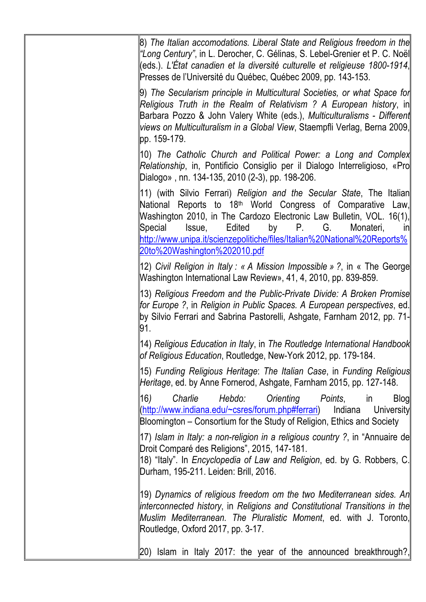8) *The Italian accomodations. Liberal State and Religious freedom in the "Long Century"*, in L. Derocher, C. Gélinas, S. Lebel-Grenier et P. C. Noël (eds.). *L'État canadien et la diversité culturelle et religieuse 1800-1914*, Presses de l'Université du Québec, Québec 2009, pp. 143-153. 9) *The Secularism principle in Multicultural Societies, or what Space for Religious Truth in the Realm of Relativism ? A European history*, in Barbara Pozzo & John Valery White (eds.), *Multiculturalisms - Different views on Multiculturalism in a Global View*, Staempfli Verlag, Berna 2009, pp. 159-179. 10) *The Catholic Church and Political Power: a Long and Complex Relationship*, in, Pontificio Consiglio per il Dialogo Interreligioso, «Pro Dialogo» , nn. 134-135, 2010 (2-3), pp. 198-206. 11) (with Silvio Ferrari) *Religion and the Secular State*, The Italian National Reports to 18<sup>th</sup> World Congress of Comparative Law, Washington 2010, in The Cardozo Electronic Law Bulletin, VOL. 16(1), Special Issue, Edited by P. G. Monateri, in http://www.unipa.it/scienzepolitiche/files/Italian%20National%20Reports% 20to%20Washington%202010.pdf 12) *Civil Religion in Italy : « A Mission Impossible » ?*, in « The George Washington International Law Review», 41, 4, 2010, pp. 839-859. 13) *Religious Freedom and the Public-Private Divide: A Broken Promise for Europe ?*, in *Religion in Public Spaces. A European perspectives*, ed. by Silvio Ferrari and Sabrina Pastorelli, Ashgate, Farnham 2012, pp. 71- 91. 14) *Religious Education in Italy*, in *The Routledge International Handbook of Religious Education*, Routledge, New-York 2012, pp. 179-184. 15) *Funding Religious Heritage*: *The Italian Case*, in *Funding Religious Heritage*, ed. by Anne Fornerod, Ashgate, Farnham 2015, pp. 127-148. 16*) Charlie Hebdo: Orienting Points*, in Blog (http://www.indiana.edu/~csres/forum.php#ferrari) Indiana University Bloomington – Consortium for the Study of Religion, Ethics and Society 17) *Islam in Italy: a non-religion in a religious country ?*, in "Annuaire de Droit Comparé des Religions", 2015, 147-181. 18) "Italy". In *Encyclopedia of Law and Religion*, ed. by G. Robbers, C. Durham, 195-211. Leiden: Brill, 2016. 19) *Dynamics of religious freedom om the two Mediterranean sides. An linterconnected history, in Religions and Constitutional Transitions in the Muslim Mediterranean. The Pluralistic Moment*, ed. with J. Toronto, Routledge, Oxford 2017, pp. 3-17.  $\vert$ 20) Islam in Italy 2017: the year of the announced breakthrough?